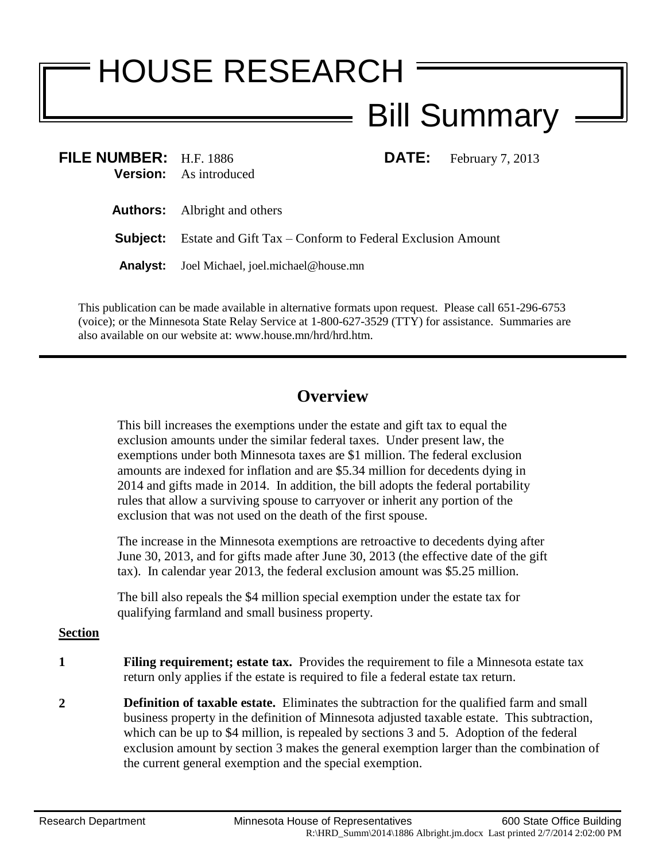## HOUSE RESEARCH Bill Summary

| <b>FILE NUMBER:</b> $H.F. 1886$ | <b>Version:</b> As introduced                                             |  | <b>DATE:</b> February 7, 2013 |
|---------------------------------|---------------------------------------------------------------------------|--|-------------------------------|
|                                 | <b>Authors:</b> Albright and others                                       |  |                               |
|                                 | <b>Subject:</b> Estate and Gift Tax – Conform to Federal Exclusion Amount |  |                               |
|                                 | Analyst: Joel Michael, joel.michael@house.mn                              |  |                               |
|                                 |                                                                           |  |                               |

This publication can be made available in alternative formats upon request. Please call 651-296-6753 (voice); or the Minnesota State Relay Service at 1-800-627-3529 (TTY) for assistance. Summaries are also available on our website at: www.house.mn/hrd/hrd.htm.

## **Overview**

This bill increases the exemptions under the estate and gift tax to equal the exclusion amounts under the similar federal taxes. Under present law, the exemptions under both Minnesota taxes are \$1 million. The federal exclusion amounts are indexed for inflation and are \$5.34 million for decedents dying in 2014 and gifts made in 2014. In addition, the bill adopts the federal portability rules that allow a surviving spouse to carryover or inherit any portion of the exclusion that was not used on the death of the first spouse.

The increase in the Minnesota exemptions are retroactive to decedents dying after June 30, 2013, and for gifts made after June 30, 2013 (the effective date of the gift tax). In calendar year 2013, the federal exclusion amount was \$5.25 million.

The bill also repeals the \$4 million special exemption under the estate tax for qualifying farmland and small business property.

## **Section**

- **1 Filing requirement; estate tax.** Provides the requirement to file a Minnesota estate tax return only applies if the estate is required to file a federal estate tax return.
- **2 Definition of taxable estate.** Eliminates the subtraction for the qualified farm and small business property in the definition of Minnesota adjusted taxable estate. This subtraction, which can be up to \$4 million, is repealed by sections [3](#page-1-0) and [5.](#page-1-1) Adoption of the federal exclusion amount by section [3](#page-1-0) makes the general exemption larger than the combination of the current general exemption and the special exemption.